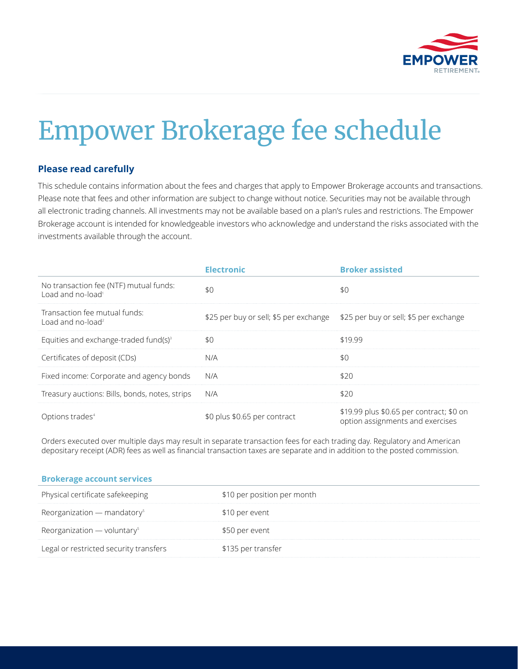

## Empower Brokerage fee schedule

## **Please read carefully**

This schedule contains information about the fees and charges that apply to Empower Brokerage accounts and transactions. Please note that fees and other information are subject to change without notice. Securities may not be available through all electronic trading channels. All investments may not be available based on a plan's rules and restrictions. The Empower Brokerage account is intended for knowledgeable investors who acknowledge and understand the risks associated with the investments available through the account.

|                                                                         | <b>Electronic</b>                                                             | <b>Broker assisted</b>                                                       |
|-------------------------------------------------------------------------|-------------------------------------------------------------------------------|------------------------------------------------------------------------------|
| No transaction fee (NTF) mutual funds:<br>Load and no-load <sup>1</sup> | \$0                                                                           | \$Λ                                                                          |
| Transaction fee mutual funds:<br>Load and no-load <sup>2</sup>          | \$25 per buy or sell; \$5 per exchange \$25 per buy or sell; \$5 per exchange |                                                                              |
| Equities and exchange-traded fund(s) <sup>3</sup>                       | \$0                                                                           | \$1999                                                                       |
| Certificates of deposit (CDs)                                           | N/A                                                                           | \$0                                                                          |
| Fixed income: Corporate and agency bonds                                | N/A                                                                           | \$20                                                                         |
| Treasury auctions: Bills, bonds, notes, strips                          | N/A                                                                           | \$20                                                                         |
| Options trades <sup>4</sup>                                             | \$0 plus \$0.65 per contract                                                  | \$19.99 plus \$0.65 per contract; \$0 on<br>option assignments and exercises |

Orders executed over multiple days may result in separate transaction fees for each trading day. Regulatory and American depositary receipt (ADR) fees as well as financial transaction taxes are separate and in addition to the posted commission.

| <b>Brokerage account services</b>         |                             |
|-------------------------------------------|-----------------------------|
| Physical certificate safekeeping          | \$10 per position per month |
| Reorganization - mandatory <sup>5</sup>   | \$10 per event              |
| Reorganization $-$ voluntary <sup>5</sup> | \$50 per event              |
| Legal or restricted security transfers    | \$135 per transfer          |